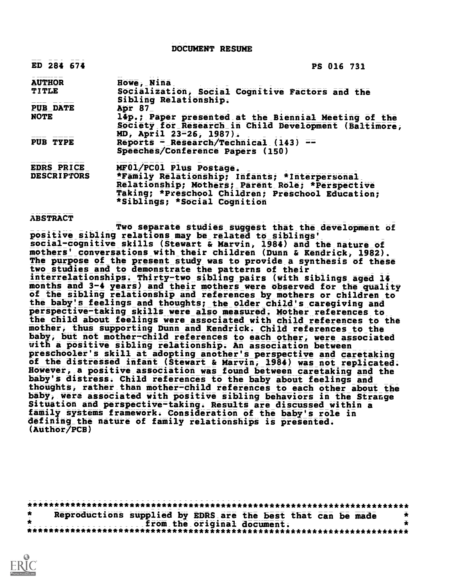DOCUMENT RESUME

| ED 284 674         | PS 016 731                                                                                                                                                                             |
|--------------------|----------------------------------------------------------------------------------------------------------------------------------------------------------------------------------------|
| <b>AUTHOR</b>      | Howe, Nina                                                                                                                                                                             |
| <b>TITLE</b>       | Socialization, Social Cognitive Factors and the<br>Sibling Relationship.                                                                                                               |
| <b>PUB DATE</b>    | Apr 87                                                                                                                                                                                 |
| <b>NOTE</b>        | 14p.; Paper presented at the Biennial Meeting of the<br>Society for Research in Child Development (Baltimore,<br>MD, April 23-26, 1987).                                               |
| PUB TYPE           | Reports - Research/Technical (143) $=$<br>Speeches/Conference Papers (150)                                                                                                             |
| EDRS PRICE         | MF01/PC01 Plus Postage.                                                                                                                                                                |
| <b>DESCRIPTORS</b> | *Family Relationship; Infants; *Interpersonal<br>Relationship; Mothers; Parent Role; *Perspective<br>Taking; *Preschool Children; Preschool Education;<br>*Siblings; *Social Cognition |

#### ABSTRACT

Two separate studies suggest that the development of positive sibling relations may be related to siblings' social-cognitive skills (Stewart & Marvin, 1984) and the nature of mothers' conversations with their children (Dunn & Kendrick, 1982). The purpose of the present study was to provide a synthesis of these two studies and to demonstrate the patterns of their interrelationships. Thirty-two sibling pairs (with siblings aged 14 months and 3-4 years) and their mothers were observed for the quality of the sibling relationship and references by mothers or children to the baby's feelings and thoughts; the older child's caregiving and perspective-taking skills were also measured. Mother references to the child about feelings were associated with child references to the mother, thus supporting Dunn and Kendrick. Child references to the baby, but not mother-child references to each other, were associated with a positive sibling relationship. An association between preschooler's skill at adopting another's perspective and caretaking of the distressed infant (Stewart & Marvin, 1984) was not replicated. However, a positive association was found between caretaking and the baby's distress. Child references to the baby about feelings and thoughts, rather than mother-child references to each other about the baby, were associated with positive sibling behaviors in the Strange Situation and perspective-taking. Results are discussed within a family systems framework. Consideration of the baby's role in defining the nature of family relationships is presented. (Author/PCB)

\*\*\*\*\*\*\*\*\*\*\*\*\*\*\*\*\*\*\*\*\*\*\*\*\*\*\*\*\*\*\*\*\*\*\*\*\*\*\*\*\*\*\*\*\*\*\*\*\*\*\*\*\*\*\*\*\*\*\*\*\*\*\*\*\*\*\*\*\*\*\*  $\star$ Reproductions supplied by EDRS are the best that can be made  $\frac{1}{2}$ from the original document. \*\*\*\*\*\*\*\*\*\*\*\*\*\*\*\*\*\*\*\*\*\*\*\*\*\*\*\*\*\*\*\*\*\*\*\*\*\*\*\*\*\*\*\*\*\*\*\*\*\*\*\*\*\*\*\*\*\*\*\*\*\*\*\*\*\*\*\*\*\*\*

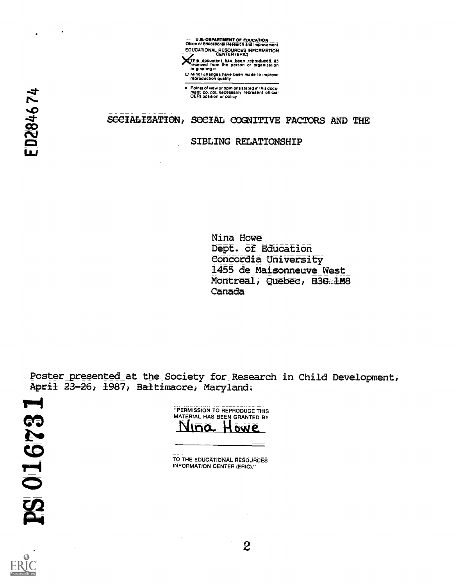

**orthis, document has been reproduced, as<br>racetved from the person or organization**<br>or <u>originating</u> it<br>O Minor changes have been made to improve<br>reproduction quality.

Points of view or opinions stated in thisdocir meat do\_noLnecesaarily represent official OERI position or policy

# SCCIALIZATION, SOCIAL COGNITIVE FACTORS AND THE

### SIBLING RELATIONSHIP

Nina Howe Dept. of Education Concordia University 1455 de Maisonneuve West Montreal, Quebec, H3Ga1M8 Canada

Poster presented at the Society for Research in Child Development, April 23-26, 1987, Baltimaore, Maryland.

"PERMISSION TO REPRODUCE THIS MATERIAL HAS BEEN GRANTED BY <u>Niña Howe</u>

TO THE EDUCATIONAL RESOURCES INFORMATION CENTER (ERIC)."



ED284674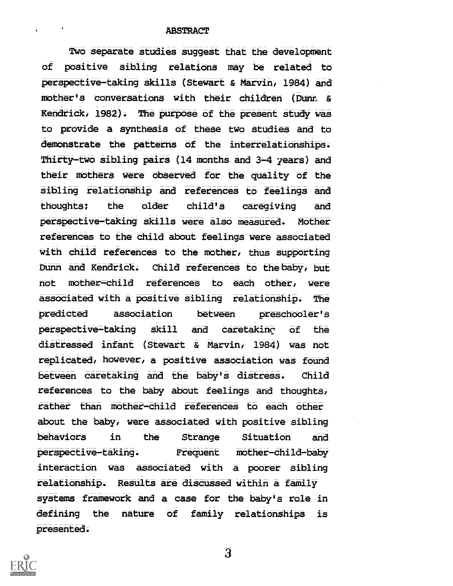### **ABSTRACT**

Two separate studies suggest that the development of positive sibling relations may be related to perspective-taking skills (Stewart & Marvin, 1984) and mother's conversations with their children (Dunn & Kendrick, 1982). The purpose of the present study was to provide a synthesis of these two studies and to demonstrate the patterns of the interrelationships. Thirty-two sibling pairs (14 months and 3-4 years) and their mothers were observed for the quality of the sibling relationship and references to feelings and thoughts; the older child's caregiving and perspective-taking skills were also measured. Mother references to the child about feelings were associated with child references to the mother, thus supporting Dunn and Kendrick. Child references to thebaby, but not mother-child references to each other, were associated with a positive sibling relationship. The predicted association between preschooler's perspective-taking skill and caretakinc of the distressed infant (Stewart & Marvin, 1984) was not replicated, however, a positive association was found between caretaking and the baby's distress. Child references to the baby about feelings and thoughts, rather than mother-child references to each other about the baby, were associated with positive sibling behaviors in the Strange Situation and perspective-taking. Frequent mother-child-baby interaction was associated with a poorer sibling relationship. Results are discussed within a family systems framework and a case for the baby's role in defining the nature of family relationships is presented.



3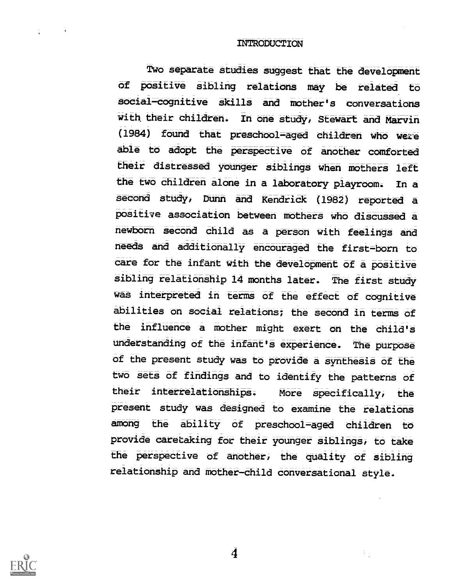### INTRODUCTION

Two separate studies suggest that the development Of positive sibling relations may be related to social-cognitive skills and mother's conversations with their children. In one study, Stewart and Marvin (1984) found that preschool-aged children who were able to adopt the perspective of another comforted their distressed younger siblings when mothers left the two children alone in a laboratory playroom. In a second study, Dunh and Kendrick (1982) reported a positive association between mothers who discussed a newbeorn second child as a person with feelings and needs and additionally encouraged the first=born to care for the infant with the development of a positive sibling relationship 14 months later. The first study was interpreted in terms of the effect of cognitive abilities on social relations; the second in terms of the influence a mother might exert on the child's understanding of the infant's experience. The purpose of the present study was to provide a synthesis of the two sets of findings and to identify the patterns of their interrelationships. More specifically, the present study was designed to examine the relations among the ability of preschool=aged children to provide caretaking for their younger siblings, to take the perspective of another, the quality of sibling relationship and mother-child conversational style.



 $\sim 10$ 

4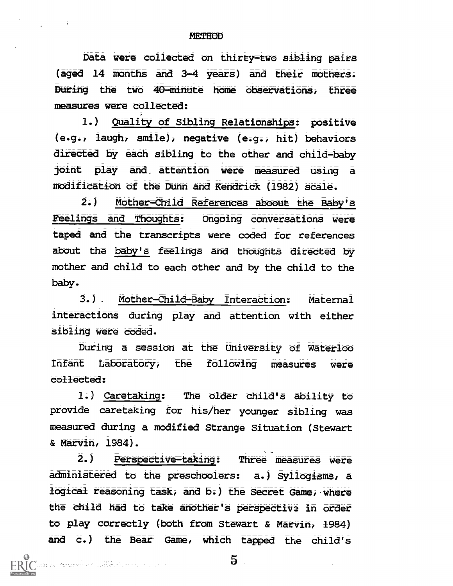Data were collected on thirty-two sibling pairs (aged 14 months and 3-4 years) and their mothers. During the two 40=minute home observations, three measures were collected:

1.) Quality of Sibling Relationships: positive (e.g., laugh, smile), negative (e.g., hit) behaviors directed by each sibling to the other and child=baby joint play and. attention were measured using a modification of the Dunn and Kendrick (1982) scale.

2.) Mother-Child References aboout the Baby's Feelings and Thoughts: Ongoing conversations were taped and the transcripts were coded for references about the baby's feelings and thoughts directed by mother and child to each other and by the child to the baby.

3.) Mother-Child-Baby Interaction: Maternal interactions during play and attention with either sibling were coded.

During a session at the University of Waterloo Infant Laboratory, the following measures were collected:

1.) Caretaking: The older child's ability to provide caretaking for his/her younger sibling was measured during a modified Strange Situation (Stewart & Marvin, 1984).

2.) Perspective-taking: Three measures were administered to the preschoolers: a.) Syllogisms, a logical reasoning task, and b.) the Secret Game, where the child had to take another's perspective in order to play correctly (both from Stewart & Marvin, 1984) and c.) the Bear Game, which tapped the child's

i<br>Isabel Komponibush kuthan Kuming ing perjanjang perjanjan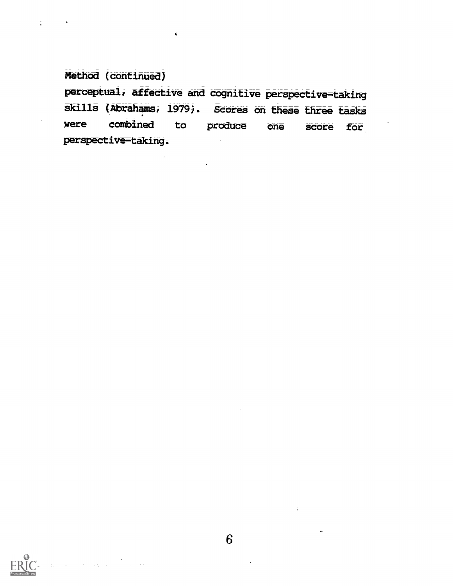Method (continued)

÷

perceptual, affective and cognitive perspective-taking skills (Abrahams, 1979). Scores on these three tasks were combined to produce one score for perspective-taking.

 $\blacktriangleleft$ 

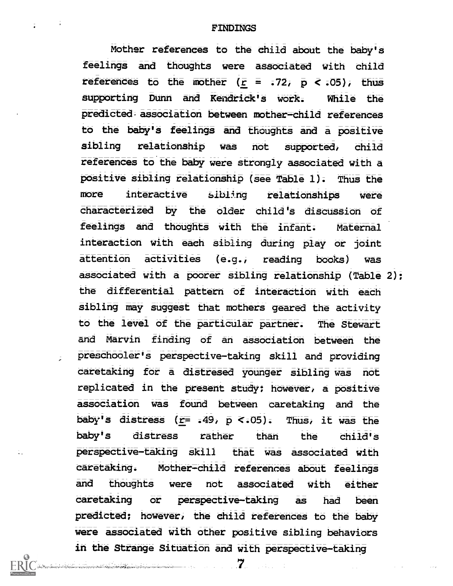### FINDINGS

Mother references to the child about the baby's feelings and thoughts were associated with child references to the mother  $(\bar{r} = .72, \bar{p} < .05)$ , thus supporting Dunn and Kendrick's work. While the predicted. association between mother-child references to the baby's feelings and thoughts and a positive sibling relationship was not supported, child references to the baby were strongly associated with a positive sibling relationship (see Table 1). Thus the more interactive sibling relationships were characterized by the older child's discussion of feelings and thoughts with the infant. Maternal interaction with each sibling during play or joint attention activities (e.g./ reading books) was associated with a poorer sibling relationship (Table 2); the differential pattern of interaction with each sibling may suggest that mothers geared the activity to the level of the particular partner. The Stewart and Marvin finding of an association between the preschooler's perspective-taking skill and providing caretaking for a distresed younger sibling was not replicated in the present study; however, a positive association was found between caretaking and the baby's distress ( $r = 0.49$ ,  $\overline{p}$  <.05). Thus, it was the baby's distress rather than the child's perspective-taking skill that was associated with caretaking. Mother-child references about feelings and thoughts were not associated with either caretaking or perspective-taking as had been predicted; however, the child references to the baby were associated with other positive sibling behaviors in the Strange Situation and with perspective-taking

7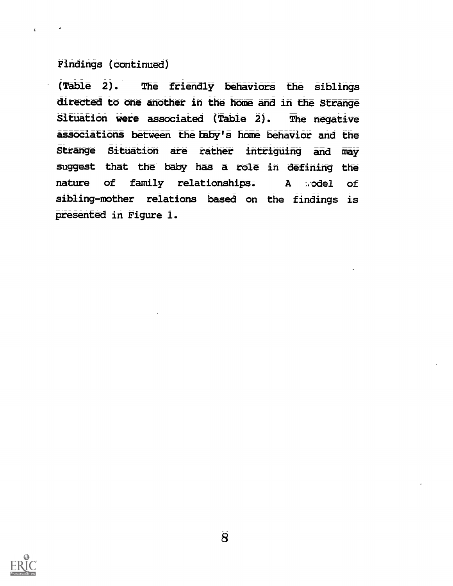## Findings (continued)

(Table 2). The friendly behaviors the siblings directed to one another in the home and in the Strange Situation were associated (Table 2). The negative associations between the baby's home behavior and the Strange Situation are rather intriguing and may suggest that the baby has a role in defining the nature of family relationships. A sodel of sibling-mother relations based on the findings is presented in Figure 1.

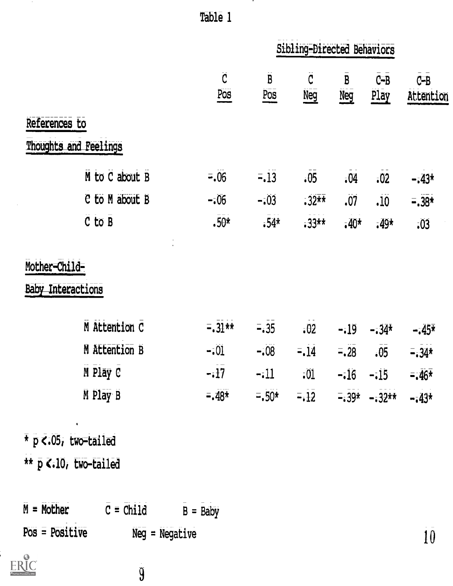|                          |                       | Table 1               |                            |                                                                                            |                            |                 |                      |  |
|--------------------------|-----------------------|-----------------------|----------------------------|--------------------------------------------------------------------------------------------|----------------------------|-----------------|----------------------|--|
|                          |                       |                       | Sibling-Directed Behaviors |                                                                                            |                            |                 |                      |  |
|                          |                       | $\overline{C}$<br>Pos | $\overline{B}$<br>Pos      | C<br>Neg                                                                                   | $\mathbf{B}$<br><b>Neg</b> | $C - B$<br>Play | $C - B$<br>Attention |  |
| References to            |                       |                       |                            |                                                                                            |                            |                 |                      |  |
|                          | Thoughts and Feelings |                       |                            |                                                                                            |                            |                 |                      |  |
|                          | M to C about B        | $= 0.06$              | $= .13$                    | .05                                                                                        | $-04$                      | $-02$           | $-143*$              |  |
|                          | C to M about B        | $-0.06$               | $-.03$                     | $.32**$                                                                                    | .07                        | .10             | $= .38*$             |  |
|                          | $C$ to $B$            | $.50*$                | $.54*$                     | $-33**$                                                                                    | $-40*$                     | $-49*$          | .03                  |  |
| Mother-Child-            |                       |                       |                            |                                                                                            |                            |                 |                      |  |
| <b>Baby Interactions</b> |                       |                       |                            |                                                                                            |                            |                 |                      |  |
|                          | M Attention C         | $= 31**$              | $= 35$                     | $-02$                                                                                      | $-19$                      | $-34*$          | $-345*$              |  |
|                          | M Attention B         | $-0.01$               | $-.08$                     | $= 14$                                                                                     | $= 28$                     | .05             | $=34*$               |  |
|                          | M Play C              |                       |                            | $-i\overline{17}$ $-i11$ $i01$ $-i16$ $-i15$                                               |                            |                 | $= 46*$              |  |
|                          | M Play B              |                       |                            | $= 48^{\frac{1}{2}}$ $= 50^{\frac{1}{2}}$ $= 12$ $= 39^{\frac{1}{2}}$ $= 32^{\frac{1}{2}}$ |                            |                 | $-143*$              |  |
|                          |                       |                       |                            |                                                                                            |                            |                 |                      |  |

\*  $p < 05$ , two-tailed \*\* p <.10, two-tailed

ERIC

 $M = Mother$   $\overline{C} = Child$   $\overline{B} = Baby$  $Pos = Positive$  $Neg = Negative$ 

 $\overline{9}$ 

 $\bar{10}$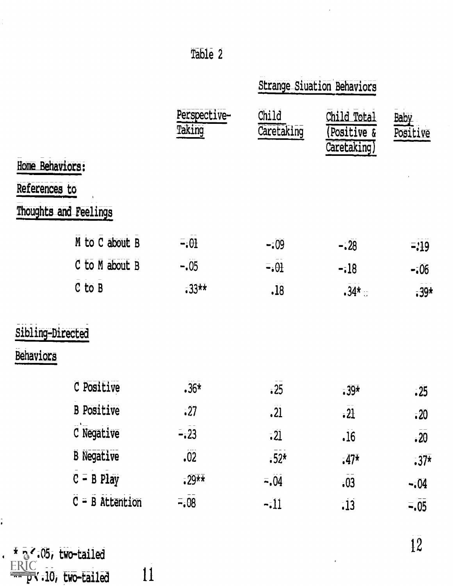|                                                                           |                      |                                   | <b>Strange Siuation Behaviors</b> |                                          |                  |
|---------------------------------------------------------------------------|----------------------|-----------------------------------|-----------------------------------|------------------------------------------|------------------|
|                                                                           |                      | Perspective-<br>Taking            | Child<br>Caretaking               | Child Total<br>Positive &<br>Caretaking) | Baby<br>Positive |
| Home Behaviors:                                                           |                      |                                   |                                   |                                          |                  |
| References to                                                             |                      |                                   |                                   |                                          |                  |
| Thoughts and Feelings                                                     |                      |                                   |                                   |                                          |                  |
|                                                                           | M to C about B       | $=$ $\theta$                      | $-109$                            | $-.28$                                   | $= 19$           |
|                                                                           | $C$ to $M$ about $B$ | $-.05$                            | $= 0.01$                          | $-18$                                    | $-106$           |
|                                                                           | $C$ to $B$           | $-33*$                            | .18                               | $.34*$                                   | $-39*$           |
| Sibling-Directed                                                          |                      |                                   |                                   |                                          |                  |
| Behaviors                                                                 |                      |                                   |                                   |                                          |                  |
|                                                                           | C Positive           | $.36*$                            | $-25$                             | $.39*$                                   | .25              |
|                                                                           | <b>B</b> Positive    | $-27$                             | $\overline{.21}$                  | $\overline{21}$                          | $-20$            |
|                                                                           | C Negative           | $= 23$                            | $-21$                             | $\overline{.16}$                         | $\overline{.20}$ |
|                                                                           | <b>B</b> Negative    | .02                               | $.52*$                            | $-47*$                                   | $.37*$           |
|                                                                           | $C = B$ Play         | $-29*$                            | $= 0.04$                          | $\overline{.}\overline{0}\overline{3}$   | $-504$           |
|                                                                           | $C = B$ Attention    | $=$ $\overline{0}$ $\overline{0}$ | $-11$                             | .13                                      | $= .05$          |
| $\overline{x}$ $\overline{y}$ $\overline{z}$ $\overline{05}$ , two-tailed |                      |                                   |                                   |                                          | $\overline{12}$  |

Table 2

 $\tilde{\mathcal{A}}$ 

 $\ddot{\phantom{1}}$ 

 $\overline{11}$ 

 $\frac{1}{2}$ 

 $\frac{1}{\bullet}$ 

 $\blacksquare$ 

 $ERIC$ <br> $P$  : 10, two-tailed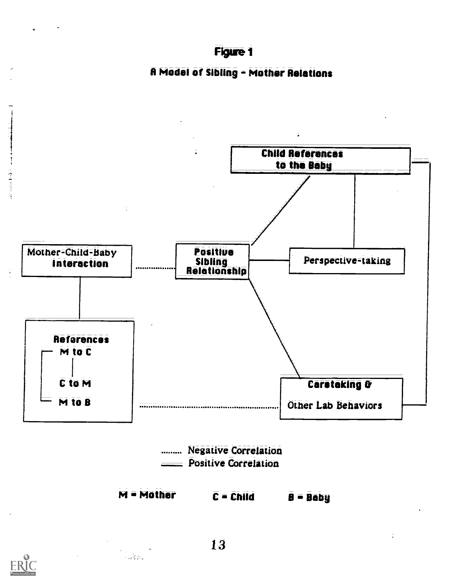

R Model of Sibling = Mother Relations



13

an<br>San Barata